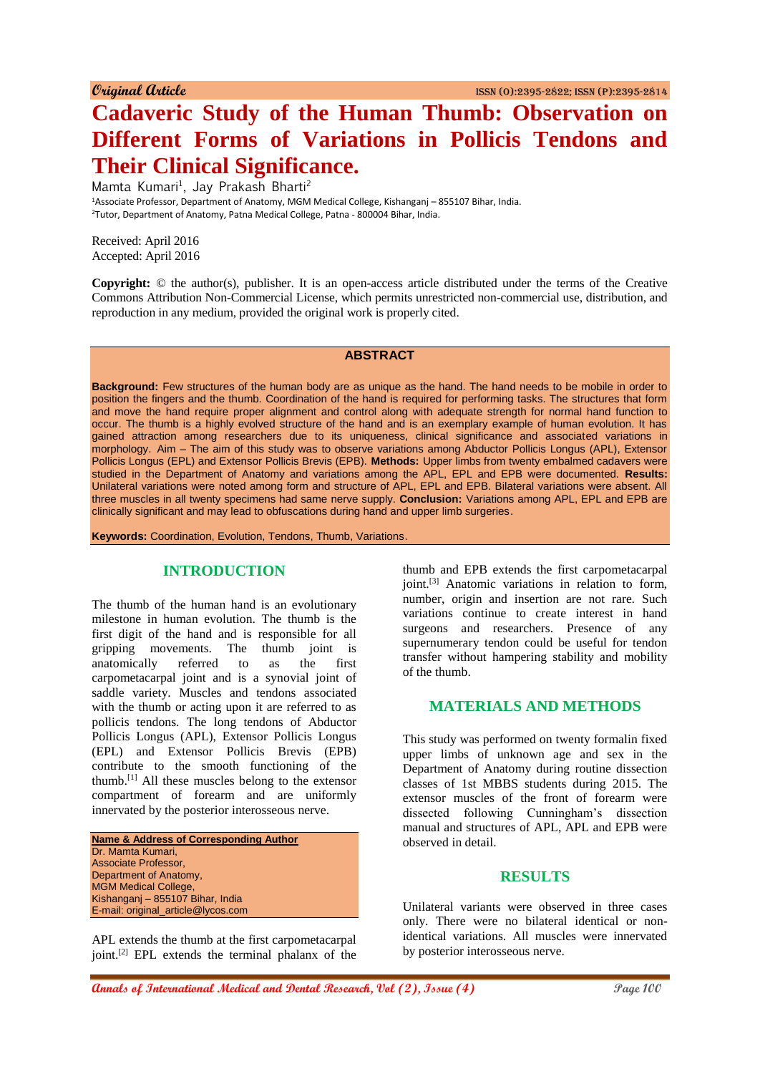# **Cadaveric Study of the Human Thumb: Observation on Different Forms of Variations in Pollicis Tendons and Their Clinical Significance.**

Mamta Kumari<sup>1</sup>, Jay Prakash Bharti<sup>2</sup>

<sup>1</sup>Associate Professor, Department of Anatomy, MGM Medical College, Kishanganj – 855107 Bihar, India. <sup>2</sup>Tutor, Department of Anatomy, Patna Medical College, Patna - 800004 Bihar, India.

Received: April 2016 Accepted: April 2016

**Copyright:** © the author(s), publisher. It is an open-access article distributed under the terms of the Creative Commons Attribution Non-Commercial License, which permits unrestricted non-commercial use, distribution, and reproduction in any medium, provided the original work is properly cited.

# **ABSTRACT**

**Background:** Few structures of the human body are as unique as the hand. The hand needs to be mobile in order to position the fingers and the thumb. Coordination of the hand is required for performing tasks. The structures that form and move the hand require proper alignment and control along with adequate strength for normal hand function to occur. The thumb is a highly evolved structure of the hand and is an exemplary example of human evolution. It has gained attraction among researchers due to its uniqueness, clinical significance and associated variations in morphology. Aim – The aim of this study was to observe variations among Abductor Pollicis Longus (APL), Extensor Pollicis Longus (EPL) and Extensor Pollicis Brevis (EPB). **Methods:** Upper limbs from twenty embalmed cadavers were studied in the Department of Anatomy and variations among the APL, EPL and EPB were documented. **Results:**  Unilateral variations were noted among form and structure of APL, EPL and EPB. Bilateral variations were absent. All three muscles in all twenty specimens had same nerve supply. **Conclusion:** Variations among APL, EPL and EPB are clinically significant and may lead to obfuscations during hand and upper limb surgeries.

**Keywords:** Coordination, Evolution, Tendons, Thumb, Variations.

#### **INTRODUCTION**

The thumb of the human hand is an evolutionary milestone in human evolution. The thumb is the first digit of the hand and is responsible for all gripping movements. The thumb joint is anatomically referred to as the first carpometacarpal joint and is a synovial joint of saddle variety. Muscles and tendons associated with the thumb or acting upon it are referred to as pollicis tendons. The long tendons of Abductor Pollicis Longus (APL), Extensor Pollicis Longus (EPL) and Extensor Pollicis Brevis (EPB) contribute to the smooth functioning of the thumb.[1] All these muscles belong to the extensor compartment of forearm and are uniformly innervated by the posterior interosseous nerve.

**Name & Address of Corresponding Author** Dr. Mamta Kumari, Associate Professor, Department of Anatomy, MGM Medical College, Kishanganj – 855107 Bihar, India E-mail: original\_article@lycos.com

APL extends the thumb at the first carpometacarpal joint.<sup>[2]</sup> EPL extends the terminal phalanx of the

thumb and EPB extends the first carpometacarpal joint.[3] Anatomic variations in relation to form, number, origin and insertion are not rare. Such variations continue to create interest in hand surgeons and researchers. Presence of any supernumerary tendon could be useful for tendon transfer without hampering stability and mobility of the thumb.

# **MATERIALS AND METHODS**

This study was performed on twenty formalin fixed upper limbs of unknown age and sex in the Department of Anatomy during routine dissection classes of 1st MBBS students during 2015. The extensor muscles of the front of forearm were dissected following Cunningham's dissection manual and structures of APL, APL and EPB were observed in detail.

#### **RESULTS**

Unilateral variants were observed in three cases only. There were no bilateral identical or nonidentical variations. All muscles were innervated by posterior interosseous nerve.